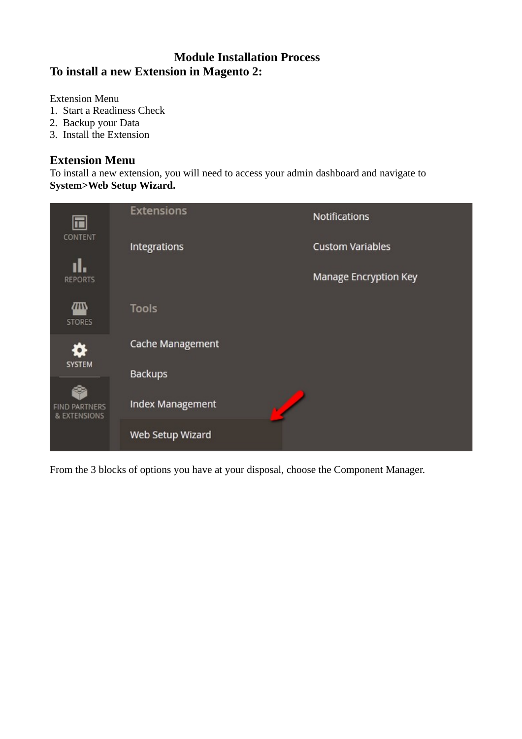## **Module Installation Process To install a new Extension in Magento 2:**

Extension Menu

- 1. Start a Readiness Check
- 2. Backup your Data
- 3. Install the Extension

#### **Extension Menu**

To install a new extension, you will need to access your admin dashboard and navigate to **System>Web Setup Wizard.**

|                                      | <b>Extensions</b>       | Notifications           |
|--------------------------------------|-------------------------|-------------------------|
| CONTENT                              | Integrations            | <b>Custom Variables</b> |
| <b>REPORTS</b>                       |                         | Manage Encryption Key   |
| መ<br><b>STORES</b>                   | <b>Tools</b>            |                         |
| о                                    | Cache Management        |                         |
| <b>SYSTEM</b>                        | <b>Backups</b>          |                         |
| <b>FIND PARTNERS</b><br>& EXTENSIONS | <b>Index Management</b> |                         |
|                                      | Web Setup Wizard        |                         |

From the 3 blocks of options you have at your disposal, choose the Component Manager.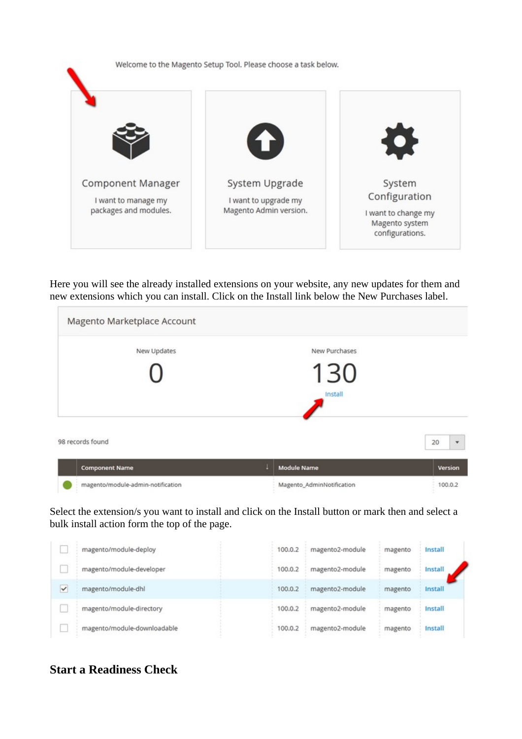

Here you will see the already installed extensions on your website, any new updates for them and new extensions which you can install. Click on the Install link below the New Purchases label.

| New Updates      | New Purchases |                                |
|------------------|---------------|--------------------------------|
|                  | 130           |                                |
|                  | Install       |                                |
| 98 records found |               | 20<br>$\overline{\phantom{a}}$ |

Select the extension/s you want to install and click on the Install button or mark then and select a bulk install action form the top of the page.

Magento\_AdminNotification

100.0.2

|   | magento/module-deploy       | 100.0.2 | magento2-module | magento | Install |
|---|-----------------------------|---------|-----------------|---------|---------|
|   | magento/module-developer    | 100.0.2 | magento2-module | magento | Install |
| ✓ | magento/module-dhl          | 100.0.2 | magento2-module | magento | Install |
|   | magento/module-directory    | 100.0.2 | magento2-module | magento | Install |
|   | magento/module-downloadable | 100.0.2 | magento2-module | magento | Install |

# **Start a Readiness Check**

magento/module-admin-notification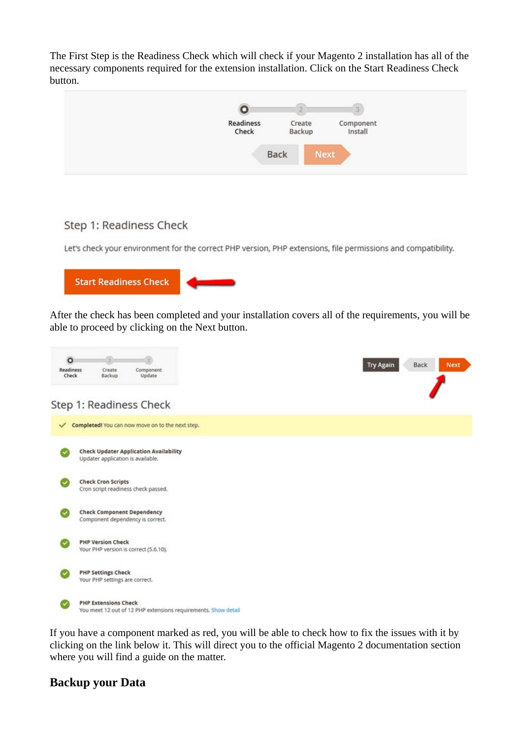The First Step is the Readiness Check which will check if your Magento 2 installation has all of the necessary components required for the extension installation. Click on the Start Readiness Check button.



#### Step 1: Readiness Check

Let's check your environment for the correct PHP version, PHP extensions, file permissions and compatibility.



After the check has been completed and your installation covers all of the requirements, you will be able to proceed by clicking on the Next button.



If you have a component marked as red, you will be able to check how to fix the issues with it by clicking on the link below it. This will direct you to the official Magento 2 documentation section where you will find a guide on the matter.

#### **Backup your Data**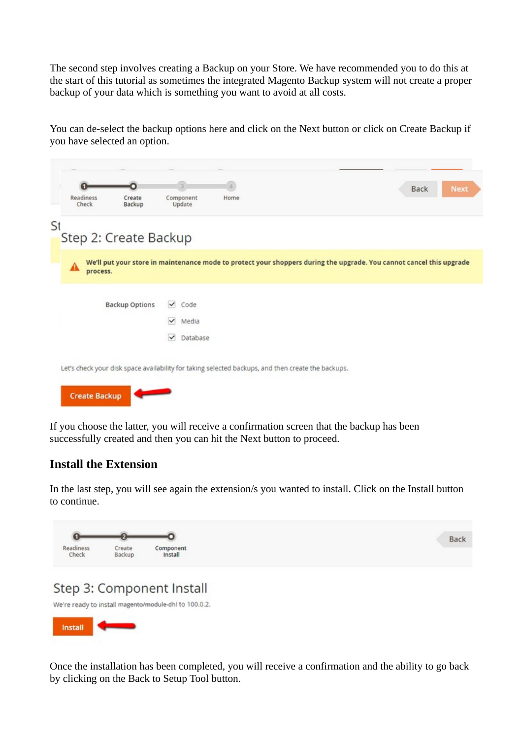The second step involves creating a Backup on your Store. We have recommended you to do this at the start of this tutorial as sometimes the integrated Magento Backup system will not create a proper backup of your data which is something you want to avoid at all costs.

You can de-select the backup options here and click on the Next button or click on Create Backup if you have selected an option.

|    | Readiness<br>Check   | n<br>Create<br>Backup                                                                              |                              | Component<br>Update | a.<br>Home |  | <b>Back</b>                                                                                                          | <b>Next</b> |
|----|----------------------|----------------------------------------------------------------------------------------------------|------------------------------|---------------------|------------|--|----------------------------------------------------------------------------------------------------------------------|-------------|
| St |                      | Step 2: Create Backup                                                                              |                              |                     |            |  |                                                                                                                      |             |
|    | A<br>process.        |                                                                                                    |                              |                     |            |  | We'll put your store in maintenance mode to protect your shoppers during the upgrade. You cannot cancel this upgrade |             |
|    |                      | <b>Backup Options</b>                                                                              | $\checkmark$                 | Code                |            |  |                                                                                                                      |             |
|    |                      |                                                                                                    | $\checkmark$<br>$\checkmark$ | Media<br>Database   |            |  |                                                                                                                      |             |
|    |                      | Let's check your disk space availability for taking selected backups, and then create the backups. |                              |                     |            |  |                                                                                                                      |             |
|    | <b>Create Backup</b> |                                                                                                    |                              |                     |            |  |                                                                                                                      |             |

If you choose the latter, you will receive a confirmation screen that the backup has been successfully created and then you can hit the Next button to proceed.

#### **Install the Extension**

In the last step, you will see again the extension/s you wanted to install. Click on the Install button to continue.





Once the installation has been completed, you will receive a confirmation and the ability to go back by clicking on the Back to Setup Tool button.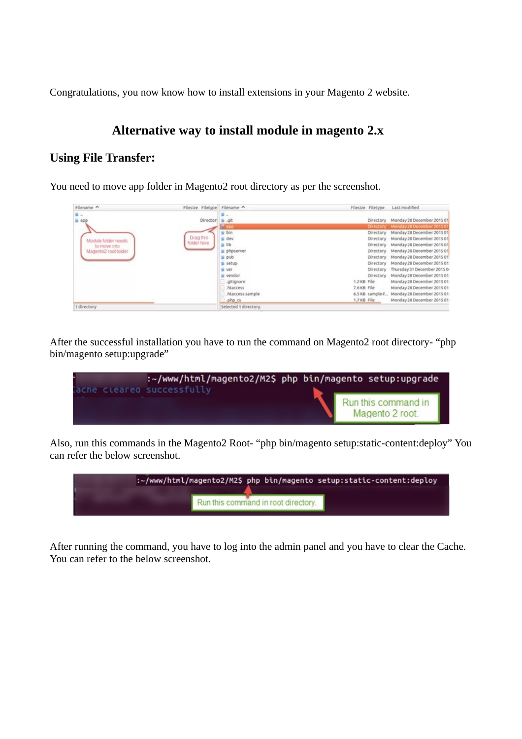Congratulations, you now know how to install extensions in your Magento 2 website.

## **Alternative way to install module in magento 2.x**

### **Using File Transfer:**

You need to move app folder in Magento2 root directory as per the screenshot.

| Filename A                                                                               | Filesize Filetype Filename                  |                                                                                                                                                   | Filesize Filetype                         |                                                                                                                                                   | Last modified                                                                                                                                                                                                                                                                                                                                                                                                                           |
|------------------------------------------------------------------------------------------|---------------------------------------------|---------------------------------------------------------------------------------------------------------------------------------------------------|-------------------------------------------|---------------------------------------------------------------------------------------------------------------------------------------------------|-----------------------------------------------------------------------------------------------------------------------------------------------------------------------------------------------------------------------------------------------------------------------------------------------------------------------------------------------------------------------------------------------------------------------------------------|
| <b>March</b><br>$\mu$ app<br>Module folder needs<br>to move into<br>Magento2 root folder | Director a git<br>Drag this<br>folder here. | 里 -<br>u bin<br>u dev<br>$\mu$ lib<br>phpserver<br>si pub<br>setup<br>si var<br>si vendor<br>.gitignore<br>htaccess<br>.htaccess.sample<br>php cs | 1.2 KB File<br>7.6 KB File<br>1,7 KB File | Directory<br>Directory<br>Directory<br>Directory<br>Directory<br>Directory<br>Directory<br>Directory<br>Directory<br>Directory<br>6.5 KB sample-f | Monday 28 December 2015 01<br>Monday 28 December 2015 01<br>Monday 28 December 2015 01<br>Monday 28 December 2015 01<br>Monday 28 December 2015 01<br>Monday 28 December 2015 01<br>Monday 28 December 2015 01<br>Monday 28 December 2015 01:<br>Thursday 31 December 2015 0-<br>Monday 28 December 2015 01:<br>Monday 28 December 2015 01:<br>Monday 28 December 2015 01<br>Monday 28 December 2015 01:<br>Monday 28 December 2015 01: |
| 1 directory                                                                              |                                             | Selected 1 directory.                                                                                                                             |                                           |                                                                                                                                                   |                                                                                                                                                                                                                                                                                                                                                                                                                                         |

After the successful installation you have to run the command on Magento2 root directory- "php bin/magento setup:upgrade"

| acne cleared successfully |  | :~/www/html/magento2/M2\$ php bin/magento setup:upgrade |
|---------------------------|--|---------------------------------------------------------|
|                           |  | Run this command in<br>Magento 2 root.                  |

Also, run this commands in the Magento2 Root- "php bin/magento setup:static-content:deploy" You can refer the below screenshot.

|  |                                     | :~/www/html/magento2/M2\$ php bin/magento setup:static-content:deploy |
|--|-------------------------------------|-----------------------------------------------------------------------|
|  | Run this command in root directory. |                                                                       |

After running the command, you have to log into the admin panel and you have to clear the Cache. You can refer to the below screenshot.